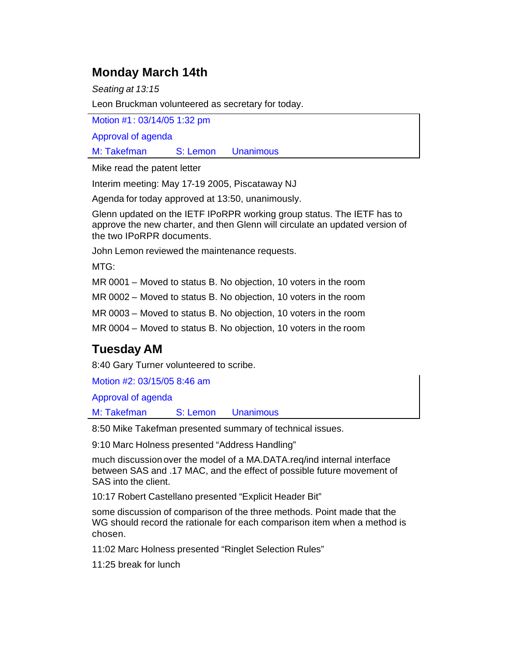## **Monday March 14th**

*Seating at 13:15*

Leon Bruckman volunteered as secretary for today.

Motion #1: 03/14/05 1:32 pm

Approval of agenda

M: Takefman S: Lemon Unanimous

Mike read the patent letter

Interim meeting: May 17-19 2005, Piscataway NJ

Agenda for today approved at 13:50, unanimously.

Glenn updated on the IETF IPoRPR working group status. The IETF has to approve the new charter, and then Glenn will circulate an updated version of the two IPoRPR documents.

John Lemon reviewed the maintenance requests.

MTG:

MR 0001 – Moved to status B. No objection, 10 voters in the room

MR 0002 – Moved to status B. No objection, 10 voters in the room

MR 0003 – Moved to status B. No objection, 10 voters in the room

MR 0004 – Moved to status B. No objection, 10 voters in the room

# **Tuesday AM**

8:40 Gary Turner volunteered to scribe.

Motion #2: 03/15/05 8:46 am

Approval of agenda

M: Takefman S: Lemon Unanimous

8:50 Mike Takefman presented summary of technical issues.

9:10 Marc Holness presented "Address Handling"

much discussion over the model of a MA.DATA.req/ind internal interface between SAS and .17 MAC, and the effect of possible future movement of SAS into the client.

10:17 Robert Castellano presented "Explicit Header Bit"

some discussion of comparison of the three methods. Point made that the WG should record the rationale for each comparison item when a method is chosen.

11:02 Marc Holness presented "Ringlet Selection Rules"

11:25 break for lunch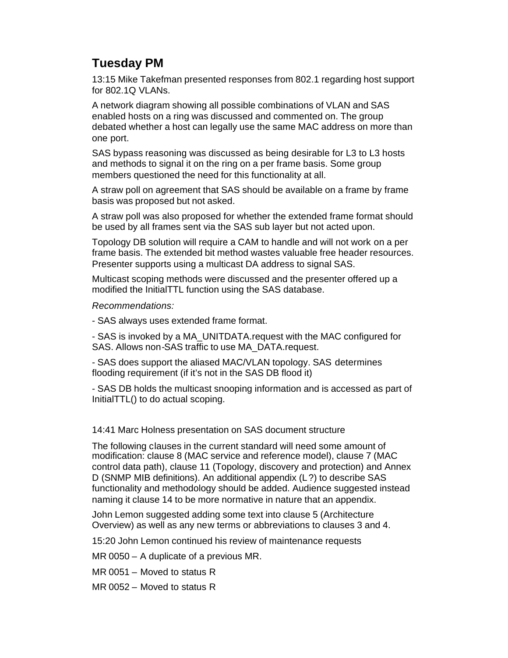# **Tuesday PM**

13:15 Mike Takefman presented responses from 802.1 regarding host support for 802.1Q VLANs.

A network diagram showing all possible combinations of VLAN and SAS enabled hosts on a ring was discussed and commented on. The group debated whether a host can legally use the same MAC address on more than one port.

SAS bypass reasoning was discussed as being desirable for L3 to L3 hosts and methods to signal it on the ring on a per frame basis. Some group members questioned the need for this functionality at all.

A straw poll on agreement that SAS should be available on a frame by frame basis was proposed but not asked.

A straw poll was also proposed for whether the extended frame format should be used by all frames sent via the SAS sub layer but not acted upon.

Topology DB solution will require a CAM to handle and will not work on a per frame basis. The extended bit method wastes valuable free header resources. Presenter supports using a multicast DA address to signal SAS.

Multicast scoping methods were discussed and the presenter offered up a modified the InitialTTL function using the SAS database.

*Recommendations:*

- SAS always uses extended frame format.

- SAS is invoked by a MA\_UNITDATA.request with the MAC configured for SAS. Allows non-SAS traffic to use MA\_DATA.request.

- SAS does support the aliased MAC/VLAN topology. SAS determines flooding requirement (if it's not in the SAS DB flood it)

- SAS DB holds the multicast snooping information and is accessed as part of InitialTTL() to do actual scoping.

14:41 Marc Holness presentation on SAS document structure

The following clauses in the current standard will need some amount of modification: clause 8 (MAC service and reference model), clause 7 (MAC control data path), clause 11 (Topology, discovery and protection) and Annex D (SNMP MIB definitions). An additional appendix (L?) to describe SAS functionality and methodology should be added. Audience suggested instead naming it clause 14 to be more normative in nature that an appendix.

John Lemon suggested adding some text into clause 5 (Architecture Overview) as well as any new terms or abbreviations to clauses 3 and 4.

15:20 John Lemon continued his review of maintenance requests

MR 0050 – A duplicate of a previous MR.

MR 0051 – Moved to status R

MR 0052 – Moved to status R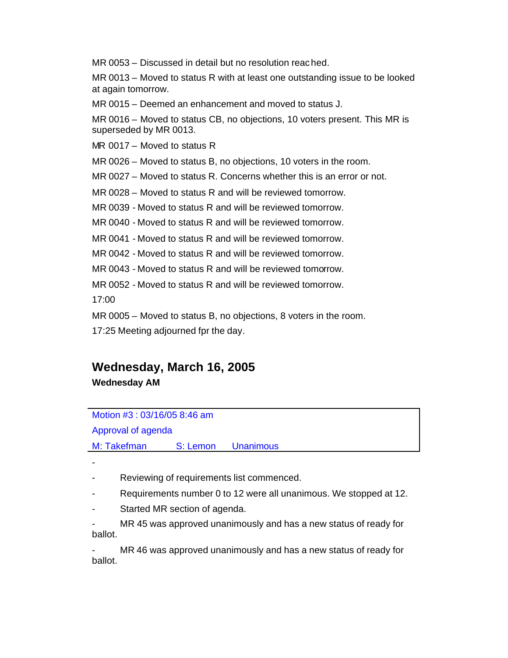MR 0053 – Discussed in detail but no resolution reached.

MR 0013 – Moved to status R with at least one outstanding issue to be looked at again tomorrow.

MR 0015 – Deemed an enhancement and moved to status J.

MR 0016 – Moved to status CB, no objections, 10 voters present. This MR is superseded by MR 0013.

MR 0017 – Moved to status R

MR 0026 – Moved to status B, no objections, 10 voters in the room.

MR 0027 – Moved to status R. Concerns whether this is an error or not.

MR 0028 – Moved to status R and will be reviewed tomorrow.

MR 0039 - Moved to status R and will be reviewed tomorrow.

MR 0040 - Moved to status R and will be reviewed tomorrow.

MR 0041 - Moved to status R and will be reviewed tomorrow.

MR 0042 - Moved to status R and will be reviewed tomorrow.

MR 0043 - Moved to status R and will be reviewed tomorrow.

MR 0052 - Moved to status R and will be reviewed tomorrow.

17:00

MR 0005 – Moved to status B, no objections, 8 voters in the room. 17:25 Meeting adjourned fpr the day.

## **Wednesday, March 16, 2005 Wednesday AM**

### Motion #3 : 03/16/05 8:46 am

### Approval of agenda

M: Takefman S: Lemon Unanimous

-

Reviewing of requirements list commenced.

- Requirements number 0 to 12 were all unanimous. We stopped at 12.
- Started MR section of agenda.

MR 45 was approved unanimously and has a new status of ready for ballot.

MR 46 was approved unanimously and has a new status of ready for ballot.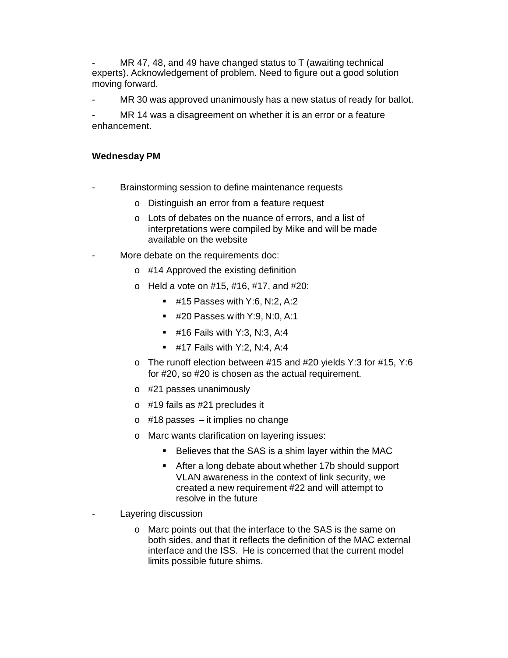MR 47, 48, and 49 have changed status to T (awaiting technical experts). Acknowledgement of problem. Need to figure out a good solution moving forward.

MR 30 was approved unanimously has a new status of ready for ballot.

MR 14 was a disagreement on whether it is an error or a feature enhancement.

### **Wednesday PM**

- Brainstorming session to define maintenance requests
	- o Distinguish an error from a feature request
	- o Lots of debates on the nuance of errors, and a list of interpretations were compiled by Mike and will be made available on the website
- More debate on the requirements doc:
	- o #14 Approved the existing definition
	- o Held a vote on #15, #16, #17, and #20:
		- $\blacksquare$  #15 Passes with Y:6, N:2, A:2
		- **#20 Passes with Y:9, N:0, A:1**
		- $\blacksquare$  #16 Fails with Y:3, N:3, A:4
		- **#17 Fails with Y:2, N:4, A:4**
	- o The runoff election between #15 and #20 yields Y:3 for #15, Y:6 for #20, so #20 is chosen as the actual requirement.
	- o #21 passes unanimously
	- o #19 fails as #21 precludes it
	- $\circ$  #18 passes it implies no change
	- o Marc wants clarification on layering issues:
		- **Believes that the SAS is a shim layer within the MAC**
		- **EXTER After a long debate about whether 17b should support** VLAN awareness in the context of link security, we created a new requirement #22 and will attempt to resolve in the future
- Layering discussion
	- o Marc points out that the interface to the SAS is the same on both sides, and that it reflects the definition of the MAC external interface and the ISS. He is concerned that the current model limits possible future shims.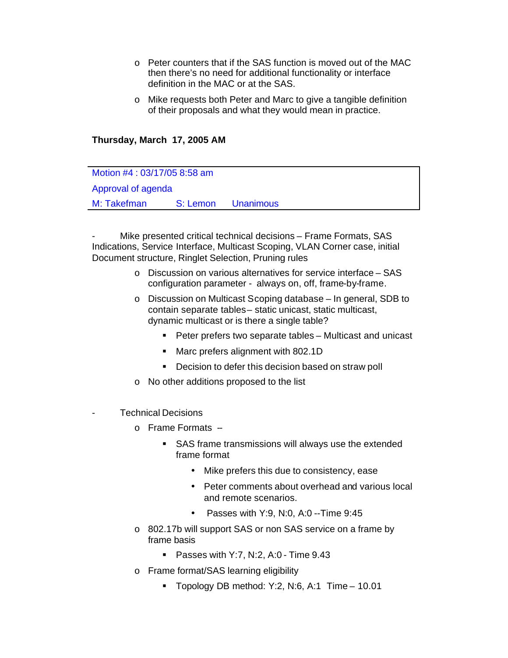- o Peter counters that if the SAS function is moved out of the MAC then there's no need for additional functionality or interface definition in the MAC or at the SAS.
- o Mike requests both Peter and Marc to give a tangible definition of their proposals and what they would mean in practice.

#### **Thursday, March 17, 2005 AM**

Motion #4 : 03/17/05 8:58 am Approval of agenda M: Takefman S: Lemon Unanimous

Mike presented critical technical decisions – Frame Formats, SAS Indications, Service Interface, Multicast Scoping, VLAN Corner case, initial Document structure, Ringlet Selection, Pruning rules

- o Discussion on various alternatives for service interface SAS configuration parameter - always on, off, frame-by-frame.
- o Discussion on Multicast Scoping database In general, SDB to contain separate tables – static unicast, static multicast, dynamic multicast or is there a single table?
	- **Peter prefers two separate tables Multicast and unicast**
	- **Marc prefers alignment with 802.1D**
	- **•** Decision to defer this decision based on straw poll
- o No other additions proposed to the list
- Technical Decisions
	- o Frame Formats --
		- **SAS frame transmissions will always use the extended** frame format
			- Mike prefers this due to consistency, ease
			- Peter comments about overhead and various local and remote scenarios.
			- Passes with  $Y:9. N:0. A:0 Time 9:45$
	- o 802.17b will support SAS or non SAS service on a frame by frame basis
		- **Passes with Y:7, N:2, A:0 Time 9.43**
	- o Frame format/SAS learning eligibility
		- **Topology DB method: Y:2, N:6, A:1 Time 10.01**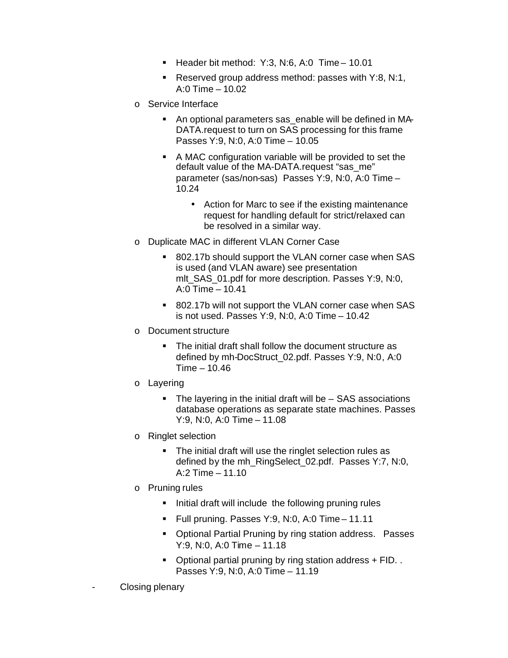- **Header bit method: Y:3, N:6, A:0 Time 10.01**
- Reserved group address method: passes with  $Y:8, N:1$ , A:0 Time – 10.02
- o Service Interface
	- An optional parameters sas enable will be defined in MA-DATA.request to turn on SAS processing for this frame Passes Y:9, N:0, A:0 Time – 10.05
	- A MAC configuration variable will be provided to set the default value of the MA-DATA.request "sas\_me" parameter (sas/non-sas) Passes Y:9, N:0, A:0 Time – 10.24
		- Action for Marc to see if the existing maintenance request for handling default for strict/relaxed can be resolved in a similar way.
- o Duplicate MAC in different VLAN Corner Case
	- ß 802.17b should support the VLAN corner case when SAS is used (and VLAN aware) see presentation mlt\_SAS\_01.pdf for more description. Passes Y:9, N:0, A:0 Time – 10.41
	- ß 802.17b will not support the VLAN corner case when SAS is not used. Passes Y:9, N:0, A:0 Time – 10.42
- o Document structure
	- The initial draft shall follow the document structure as defined by mh-DocStruct\_02.pdf. Passes Y:9, N:0, A:0 Time – 10.46
- o Layering
	- $\blacksquare$  The layering in the initial draft will be  $-$  SAS associations database operations as separate state machines. Passes Y:9, N:0, A:0 Time – 11.08
- o Ringlet selection
	- The initial draft will use the ringlet selection rules as defined by the mh\_RingSelect\_02.pdf. Passes Y:7, N:0, A:2 Time – 11.10
- o Pruning rules
	- **IF Initial draft will include the following pruning rules**
	- **Full pruning. Passes Y:9, N:0, A:0 Time 11.11**
	- **Optional Partial Pruning by ring station address. Passes** Y:9, N:0, A:0 Time – 11.18
	- **•** Optional partial pruning by ring station address  $+$  FID. . Passes Y:9, N:0, A:0 Time – 11.19
- Closing plenary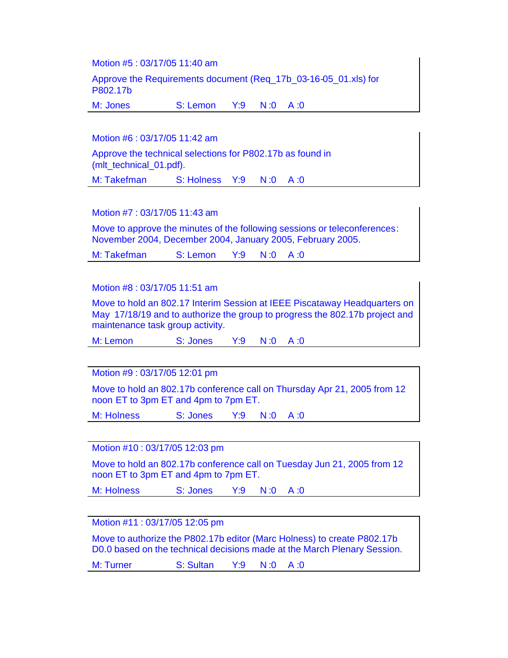Motion #5 : 03/17/05 11:40 am

Approve the Requirements document (Req\_17b\_03-16-05\_01.xls) for P802.17b

M: Jones S: Lemon Y:9 N :0 A :0

Motion #6 : 03/17/05 11:42 am

Approve the technical selections for P802.17b as found in (mlt\_technical\_01.pdf).

M: Takefman S: Holness Y:9 N:0 A:0

Motion #7 : 03/17/05 11:43 am

Move to approve the minutes of the following sessions or teleconferences: November 2004, December 2004, January 2005, February 2005.

M: Takefman S: Lemon Y:9 N :0 A :0

#### Motion #8 : 03/17/05 11:51 am

Move to hold an 802.17 Interim Session at IEEE Piscataway Headquarters on May 17/18/19 and to authorize the group to progress the 802.17b project and maintenance task group activity.

M: Lemon S: Jones Y:9 N :0 A :0

Motion #9 : 03/17/05 12:01 pm

Move to hold an 802.17b conference call on Thursday Apr 21, 2005 from 12 noon ET to 3pm ET and 4pm to 7pm ET.

M: Holness S: Jones Y:9 N :0 A :0

Motion #10 : 03/17/05 12:03 pm

Move to hold an 802.17b conference call on Tuesday Jun 21, 2005 from 12 noon ET to 3pm ET and 4pm to 7pm ET.

M: Holness S: Jones Y:9 N :0 A :0

Motion #11 : 03/17/05 12:05 pm

Move to authorize the P802.17b editor (Marc Holness) to create P802.17b D0.0 based on the technical decisions made at the March Plenary Session.

M: Turner S: Sultan Y:9 N :0 A :0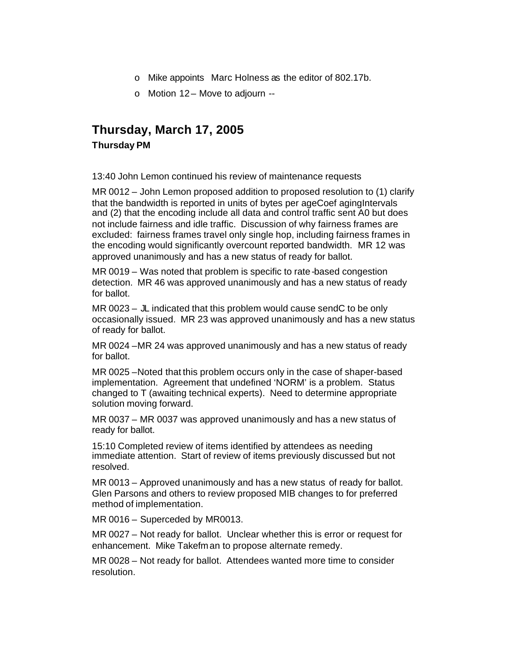- o Mike appoints Marc Holness as the editor of 802.17b.
- $\circ$  Motion 12 Move to adjourn --

## **Thursday, March 17, 2005 Thursday PM**

13:40 John Lemon continued his review of maintenance requests

MR 0012 – John Lemon proposed addition to proposed resolution to (1) clarify that the bandwidth is reported in units of bytes per ageCoef agingIntervals and (2) that the encoding include all data and control traffic sent A0 but does not include fairness and idle traffic. Discussion of why fairness frames are excluded: fairness frames travel only single hop, including fairness frames in the encoding would significantly overcount reported bandwidth. MR 12 was approved unanimously and has a new status of ready for ballot.

MR 0019 – Was noted that problem is specific to rate-based congestion detection. MR 46 was approved unanimously and has a new status of ready for ballot.

MR 0023 – JL indicated that this problem would cause sendC to be only occasionally issued. MR 23 was approved unanimously and has a new status of ready for ballot.

MR 0024 –MR 24 was approved unanimously and has a new status of ready for ballot.

MR 0025 –Noted that this problem occurs only in the case of shaper-based implementation. Agreement that undefined 'NORM' is a problem. Status changed to T (awaiting technical experts). Need to determine appropriate solution moving forward.

MR 0037 – MR 0037 was approved unanimously and has a new status of ready for ballot.

15:10 Completed review of items identified by attendees as needing immediate attention. Start of review of items previously discussed but not resolved.

MR 0013 – Approved unanimously and has a new status of ready for ballot. Glen Parsons and others to review proposed MIB changes to for preferred method of implementation.

MR 0016 – Superceded by MR0013.

MR 0027 – Not ready for ballot. Unclear whether this is error or request for enhancement. Mike Takefman to propose alternate remedy.

MR 0028 – Not ready for ballot. Attendees wanted more time to consider resolution.